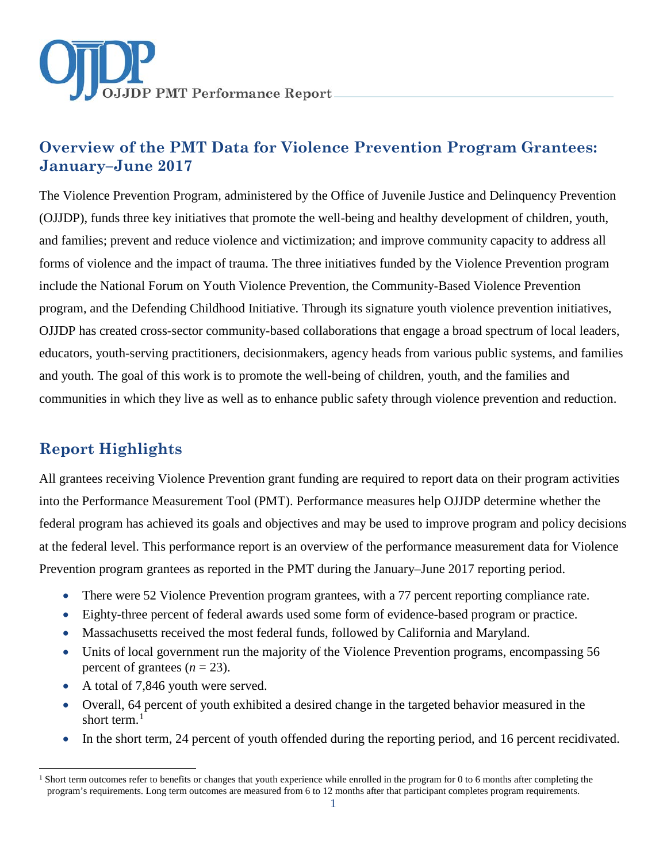

# **Overview of the PMT Data for Violence Prevention Program Grantees: January–June 2017**

The Violence Prevention Program, administered by the Office of Juvenile Justice and Delinquency Prevention (OJJDP), funds three key initiatives that promote the well-being and healthy development of children, youth, and families; prevent and reduce violence and victimization; and improve community capacity to address all forms of violence and the impact of trauma. The three initiatives funded by the Violence Prevention program include the National Forum on Youth Violence Prevention, the Community-Based Violence Prevention program, and the Defending Childhood Initiative. Through its signature youth violence prevention initiatives, OJJDP has created cross-sector community-based collaborations that engage a broad spectrum of local leaders, educators, youth-serving practitioners, decisionmakers, agency heads from various public systems, and families and youth. The goal of this work is to promote the well-being of children, youth, and the families and communities in which they live as well as to enhance public safety through violence prevention and reduction.

# **Report Highlights**

 $\overline{a}$ 

All grantees receiving Violence Prevention grant funding are required to report data on their program activities into the Performance Measurement Tool (PMT). Performance measures help OJJDP determine whether the federal program has achieved its goals and objectives and may be used to improve program and policy decisions at the federal level. This performance report is an overview of the performance measurement data for Violence Prevention program grantees as reported in the PMT during the January–June 2017 reporting period.

- There were 52 Violence Prevention program grantees, with a 77 percent reporting compliance rate.
- Eighty-three percent of federal awards used some form of evidence-based program or practice.
- Massachusetts received the most federal funds, followed by California and Maryland.
- Units of local government run the majority of the Violence Prevention programs, encompassing 56 percent of grantees  $(n = 23)$ .
- A total of 7,846 youth were served.
- Overall, 64 percent of youth exhibited a desired change in the targeted behavior measured in the short term. [1](#page-0-0)
- In the short term, 24 percent of youth offended during the reporting period, and 16 percent recidivated.

<span id="page-0-0"></span><sup>&</sup>lt;sup>1</sup> Short term outcomes refer to benefits or changes that youth experience while enrolled in the program for 0 to 6 months after completing the program's requirements. Long term outcomes are measured from 6 to 12 months after that participant completes program requirements.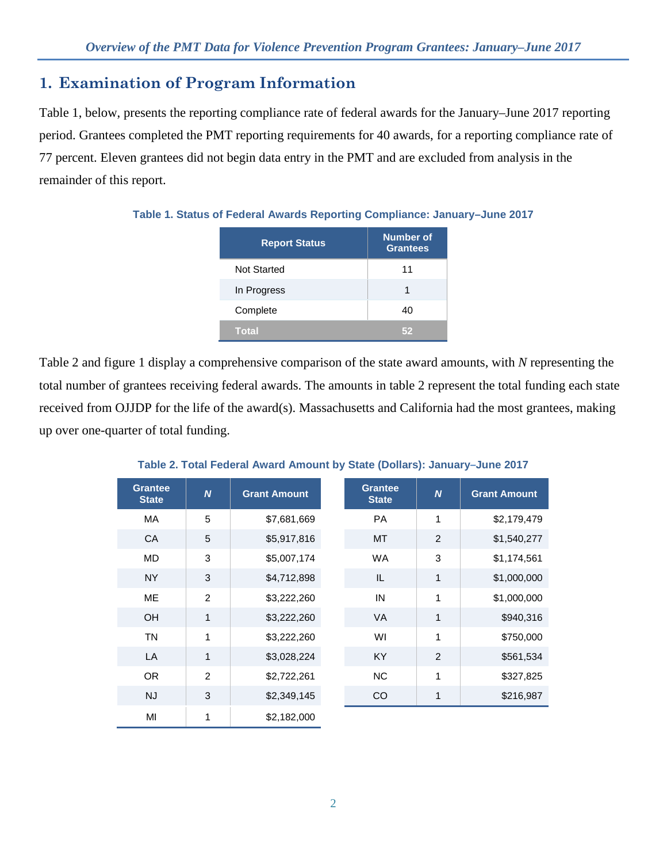## **1. Examination of Program Information**

Table 1, below, presents the reporting compliance rate of federal awards for the January–June 2017 reporting period. Grantees completed the PMT reporting requirements for 40 awards, for a reporting compliance rate of 77 percent. Eleven grantees did not begin data entry in the PMT and are excluded from analysis in the remainder of this report.

| <b>Report Status</b> | <b>Number of</b><br><b>Grantees</b> |
|----------------------|-------------------------------------|
| <b>Not Started</b>   | 11                                  |
| In Progress          |                                     |
| Complete             | 40                                  |
| Total                |                                     |

**Table 1. Status of Federal Awards Reporting Compliance: January–June 2017**

Table 2 and figure 1 display a comprehensive comparison of the state award amounts, with *N* representing the total number of grantees receiving federal awards. The amounts in table 2 represent the total funding each state received from OJJDP for the life of the award(s). Massachusetts and California had the most grantees, making up over one-quarter of total funding.

| <b>Grantee</b><br><b>State</b> | $\boldsymbol{N}$ | <b>Grant Amount</b> | <b>Grantee</b><br><b>State</b> | $\boldsymbol{N}$ | <b>Grant Amount</b> |
|--------------------------------|------------------|---------------------|--------------------------------|------------------|---------------------|
| MA                             | 5                | \$7,681,669         | <b>PA</b>                      | 1                | \$2,179,479         |
| CA                             | 5                | \$5,917,816         | <b>MT</b>                      | 2                | \$1,540,277         |
| <b>MD</b>                      | 3                | \$5,007,174         | <b>WA</b>                      | 3                | \$1,174,561         |
| <b>NY</b>                      | 3                | \$4,712,898         | IL.                            | 1                | \$1,000,000         |
| <b>ME</b>                      | 2                | \$3,222,260         | IN                             | 1                | \$1,000,000         |
| <b>OH</b>                      | 1                | \$3,222,260         | <b>VA</b>                      | 1                | \$940,316           |
| <b>TN</b>                      | 1                | \$3,222,260         | WI                             | 1                | \$750,000           |
| LA                             | $\mathbf{1}$     | \$3,028,224         | <b>KY</b>                      | 2                | \$561,534           |
| OR.                            | 2                | \$2,722,261         | <b>NC</b>                      | 1                | \$327,825           |
| <b>NJ</b>                      | 3                | \$2,349,145         | <b>CO</b>                      | 1                | \$216,987           |
| MI                             | 1                | \$2,182,000         |                                |                  |                     |

**Table 2. Total Federal Award Amount by State (Dollars): January–June 2017**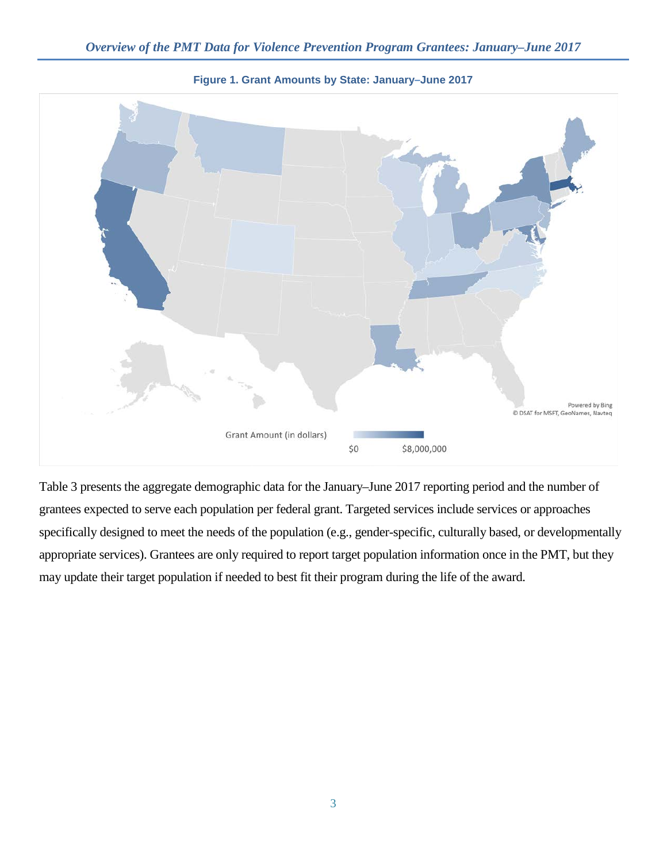

**Figure 1. Grant Amounts by State: January–June 2017**

Table 3 presents the aggregate demographic data for the January–June 2017 reporting period and the number of grantees expected to serve each population per federal grant. Targeted services include services or approaches specifically designed to meet the needs of the population (e.g., gender-specific, culturally based, or developmentally appropriate services). Grantees are only required to report target population information once in the PMT, but they may update their target population if needed to best fit their program during the life of the award.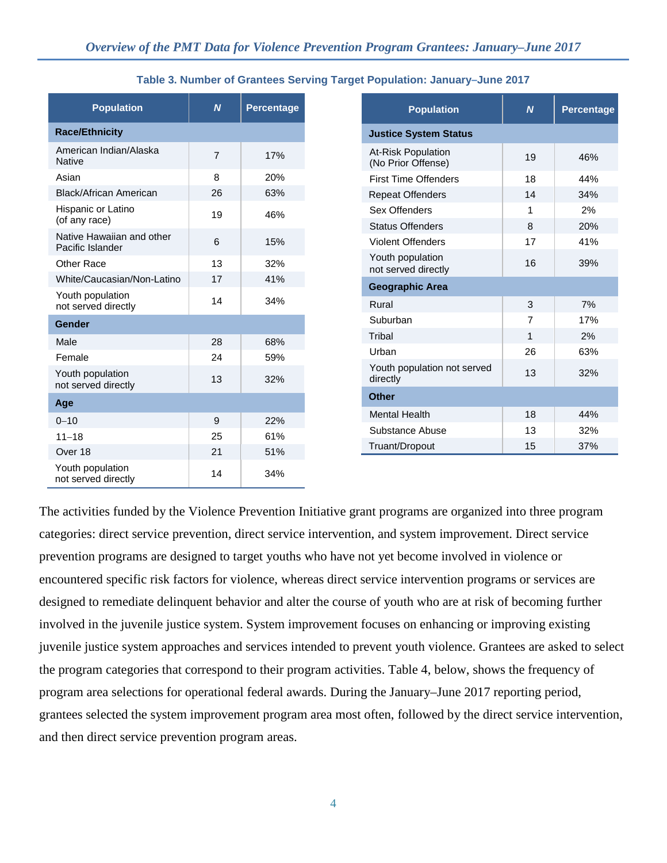| <b>Population</b>                             | N              | <b>Percentage</b> |
|-----------------------------------------------|----------------|-------------------|
| <b>Race/Ethnicity</b>                         |                |                   |
| American Indian/Alaska<br><b>Native</b>       | $\overline{7}$ | 17%               |
| Asian                                         | 8              | 20%               |
| Black/African American                        | 26             | 63%               |
| Hispanic or Latino<br>(of any race)           | 19             | 46%               |
| Native Hawaiian and other<br>Pacific Islander | 6              | 15%               |
| Other Race                                    | 13             | 32%               |
| White/Caucasian/Non-Latino                    | 17             | 41%               |
| Youth population<br>not served directly       | 14             | 34%               |
| Gender                                        |                |                   |
| Male                                          | 28             | 68%               |
| Female                                        | 24             | 59%               |
| Youth population<br>not served directly       | 13             | 32%               |
| Age                                           |                |                   |
| $0 - 10$                                      | 9              | 22%               |
| $11 - 18$                                     | 25             | 61%               |
| Over 18                                       | 21             | 51%               |
| Youth population<br>not served directly       | 14             | 34%               |

|  | Table 3. Number of Grantees Serving Target Population: January-June 2017 |
|--|--------------------------------------------------------------------------|
|--|--------------------------------------------------------------------------|

| <b>Population</b>                               | $\mathbf N$ | <b>Percentage</b> |
|-------------------------------------------------|-------------|-------------------|
| <b>Justice System Status</b>                    |             |                   |
| <b>At-Risk Population</b><br>(No Prior Offense) | 19          | 46%               |
| <b>First Time Offenders</b>                     | 18          | 44%               |
| <b>Repeat Offenders</b>                         | 14          | 34%               |
| Sex Offenders                                   | 1           | 2%                |
| <b>Status Offenders</b>                         | 8           | 20%               |
| <b>Violent Offenders</b>                        | 17          | 41%               |
| Youth population<br>not served directly         | 16          | 39%               |
| <b>Geographic Area</b>                          |             |                   |
| Rural                                           | 3           | 7%                |
| Suburban                                        | 7           | 17%               |
| Tribal                                          | 1           | 2%                |
| Urban                                           | 26          | 63%               |
| Youth population not served<br>directly         | 13          | 32%               |
| <b>Other</b>                                    |             |                   |
| <b>Mental Health</b>                            | 18          | 44%               |
| Substance Abuse                                 | 13          | 32%               |
| Truant/Dropout                                  | 15          | 37%               |

The activities funded by the Violence Prevention Initiative grant programs are organized into three program categories: direct service prevention, direct service intervention, and system improvement. Direct service prevention programs are designed to target youths who have not yet become involved in violence or encountered specific risk factors for violence, whereas direct service intervention programs or services are designed to remediate delinquent behavior and alter the course of youth who are at risk of becoming further involved in the juvenile justice system. System improvement focuses on enhancing or improving existing juvenile justice system approaches and services intended to prevent youth violence. Grantees are asked to select the program categories that correspond to their program activities. Table 4, below, shows the frequency of program area selections for operational federal awards. During the January–June 2017 reporting period, grantees selected the system improvement program area most often, followed by the direct service intervention, and then direct service prevention program areas.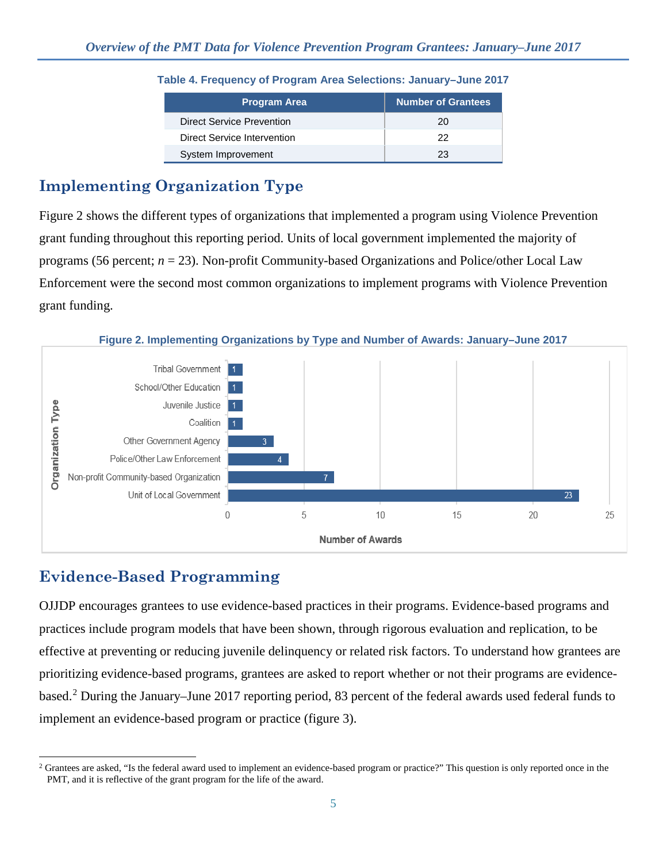| <b>Program Area</b>         | <b>Number of Grantees</b> |
|-----------------------------|---------------------------|
| Direct Service Prevention   | 20                        |
| Direct Service Intervention | つつ                        |
| System Improvement          | 23                        |

### **Table 4. Frequency of Program Area Selections: January–June 2017**

# **Implementing Organization Type**

Figure 2 shows the different types of organizations that implemented a program using Violence Prevention grant funding throughout this reporting period. Units of local government implemented the majority of programs (56 percent; *n* = 23). Non-profit Community-based Organizations and Police/other Local Law Enforcement were the second most common organizations to implement programs with Violence Prevention grant funding.

**Figure 2. Implementing Organizations by Type and Number of Awards: January–June 2017**



# **Evidence-Based Programming**

OJJDP encourages grantees to use evidence-based practices in their programs. Evidence-based programs and practices include program models that have been shown, through rigorous evaluation and replication, to be effective at preventing or reducing juvenile delinquency or related risk factors. To understand how grantees are prioritizing evidence-based programs, grantees are asked to report whether or not their programs are evidencebased. [2](#page-4-0) During the January–June 2017 reporting period, 83 percent of the federal awards used federal funds to implement an evidence-based program or practice (figure 3).

<span id="page-4-0"></span> $\overline{a}$ <sup>2</sup> Grantees are asked, "Is the federal award used to implement an evidence-based program or practice?" This question is only reported once in the PMT, and it is reflective of the grant program for the life of the award.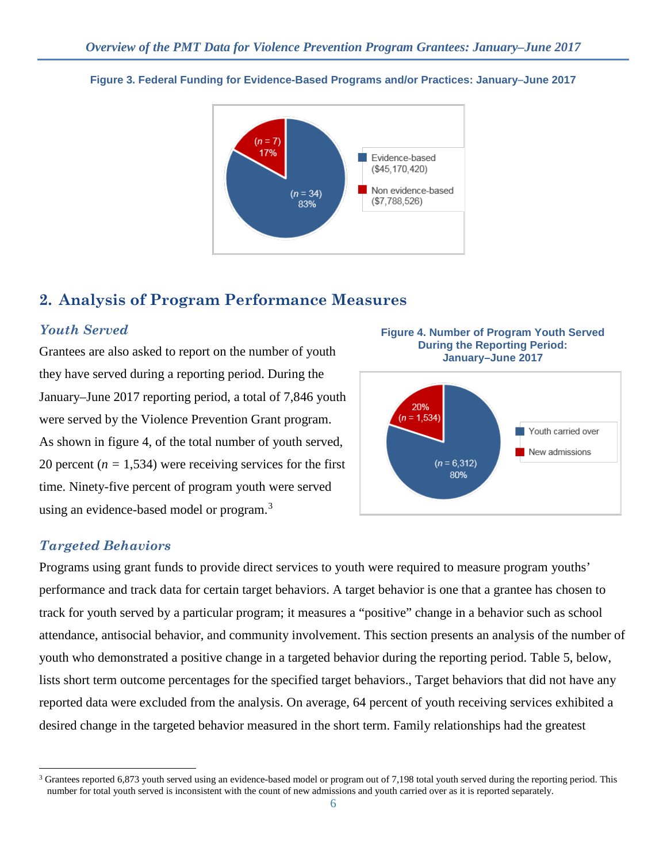

#### **Figure 3. Federal Funding for Evidence-Based Programs and/or Practices: January–June 2017**

## **2. Analysis of Program Performance Measures**

### *Youth Served*

Grantees are also asked to report on the number of youth they have served during a reporting period. During the January–June 2017 reporting period, a total of 7,846 youth were served by the Violence Prevention Grant program. As shown in figure 4, of the total number of youth served, 20 percent  $(n = 1,534)$  were receiving services for the first time. Ninety-five percent of program youth were served using an evidence-based model or program.<sup>[3](#page-5-0)</sup>





### *Targeted Behaviors*

 $\overline{a}$ 

Programs using grant funds to provide direct services to youth were required to measure program youths' performance and track data for certain target behaviors. A target behavior is one that a grantee has chosen to track for youth served by a particular program; it measures a "positive" change in a behavior such as school attendance, antisocial behavior, and community involvement. This section presents an analysis of the number of youth who demonstrated a positive change in a targeted behavior during the reporting period. Table 5, below, lists short term outcome percentages for the specified target behaviors., Target behaviors that did not have any reported data were excluded from the analysis. On average, 64 percent of youth receiving services exhibited a desired change in the targeted behavior measured in the short term. Family relationships had the greatest

<span id="page-5-0"></span> $3$  Grantees reported 6,873 youth served using an evidence-based model or program out of 7,198 total youth served during the reporting period. This number for total youth served is inconsistent with the count of new admissions and youth carried over as it is reported separately.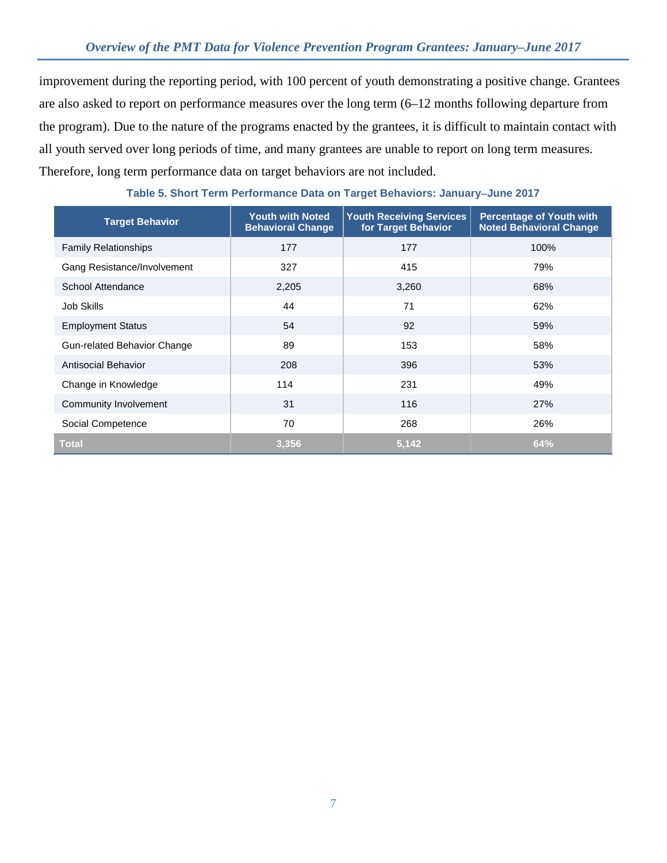improvement during the reporting period, with 100 percent of youth demonstrating a positive change. Grantees are also asked to report on performance measures over the long term (6–12 months following departure from the program). Due to the nature of the programs enacted by the grantees, it is difficult to maintain contact with all youth served over long periods of time, and many grantees are unable to report on long term measures. Therefore, long term performance data on target behaviors are not included.

| <b>Target Behavior</b>      | <b>Youth with Noted</b><br><b>Behavioral Change</b> | <b>Youth Receiving Services</b><br>for Target Behavior | <b>Percentage of Youth with</b><br><b>Noted Behavioral Change</b> |
|-----------------------------|-----------------------------------------------------|--------------------------------------------------------|-------------------------------------------------------------------|
| <b>Family Relationships</b> | 177                                                 | 177                                                    | 100%                                                              |
| Gang Resistance/Involvement | 327                                                 | 415                                                    | 79%                                                               |
| School Attendance           | 2,205                                               | 3,260                                                  | 68%                                                               |
| Job Skills                  | 44                                                  | 71                                                     | 62%                                                               |
| <b>Employment Status</b>    | 54                                                  | 92                                                     | 59%                                                               |
| Gun-related Behavior Change | 89                                                  | 153                                                    | 58%                                                               |
| Antisocial Behavior         | 208                                                 | 396                                                    | 53%                                                               |
| Change in Knowledge         | 114                                                 | 231                                                    | 49%                                                               |
| Community Involvement       | 31                                                  | 116                                                    | 27%                                                               |
| Social Competence           | 70                                                  | 268                                                    | 26%                                                               |
| <b>Total</b>                | 3.356                                               | 5,142                                                  | 64%                                                               |

#### **Table 5. Short Term Performance Data on Target Behaviors: January**−**June 2017**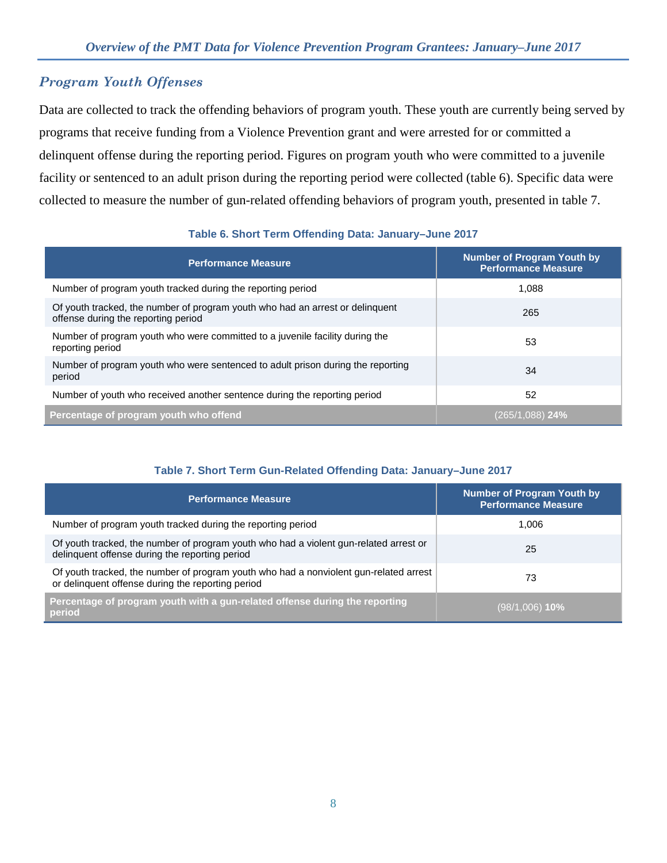## *Program Youth Offenses*

Data are collected to track the offending behaviors of program youth. These youth are currently being served by programs that receive funding from a Violence Prevention grant and were arrested for or committed a delinquent offense during the reporting period. Figures on program youth who were committed to a juvenile facility or sentenced to an adult prison during the reporting period were collected (table 6). Specific data were collected to measure the number of gun-related offending behaviors of program youth, presented in table 7.

### **Table 6. Short Term Offending Data: January–June 2017**

| <b>Performance Measure</b>                                                                                           | <b>Number of Program Youth by</b><br><b>Performance Measure</b> |
|----------------------------------------------------------------------------------------------------------------------|-----------------------------------------------------------------|
| Number of program youth tracked during the reporting period                                                          | 1.088                                                           |
| Of youth tracked, the number of program youth who had an arrest or delinquent<br>offense during the reporting period | 265                                                             |
| Number of program youth who were committed to a juvenile facility during the<br>reporting period                     | 53                                                              |
| Number of program youth who were sentenced to adult prison during the reporting<br>period                            | 34                                                              |
| Number of youth who received another sentence during the reporting period                                            | 52                                                              |
| Percentage of program youth who offend                                                                               | $(265/1,088)$ 24%                                               |

#### **Table 7. Short Term Gun-Related Offending Data: January–June 2017**

| Performance Measure                                                                                                                        | Number of Program Youth by<br><b>Performance Measure</b> |
|--------------------------------------------------------------------------------------------------------------------------------------------|----------------------------------------------------------|
| Number of program youth tracked during the reporting period                                                                                | 1.006                                                    |
| Of youth tracked, the number of program youth who had a violent gun-related arrest or<br>delinquent offense during the reporting period    | 25                                                       |
| Of youth tracked, the number of program youth who had a nonviolent gun-related arrest<br>or delinquent offense during the reporting period | 73                                                       |
| Percentage of program youth with a gun-related offense during the reporting<br>period                                                      | (98/1,006) <b>10%</b>                                    |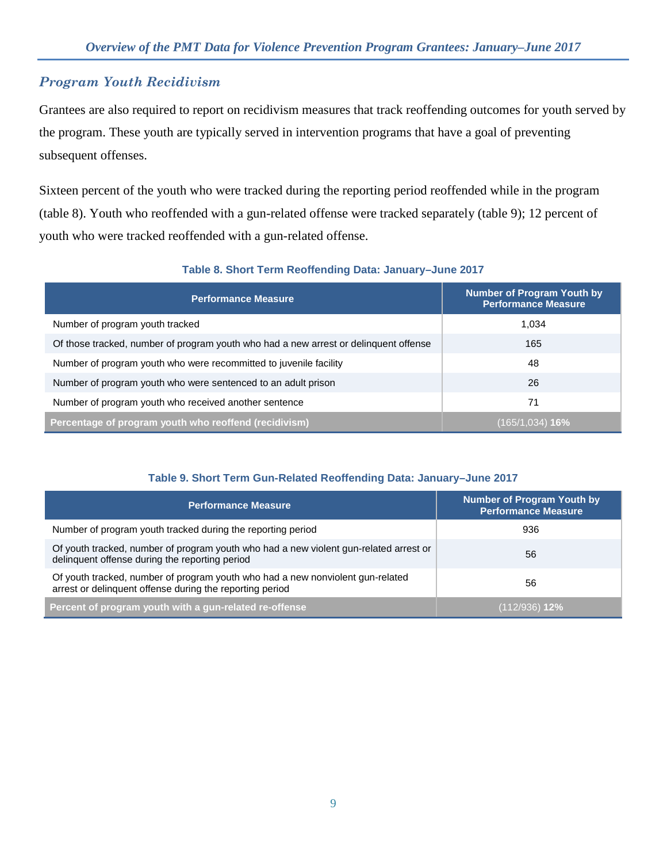## *Program Youth Recidivism*

Grantees are also required to report on recidivism measures that track reoffending outcomes for youth served by the program. These youth are typically served in intervention programs that have a goal of preventing subsequent offenses.

Sixteen percent of the youth who were tracked during the reporting period reoffended while in the program (table 8). Youth who reoffended with a gun-related offense were tracked separately (table 9); 12 percent of youth who were tracked reoffended with a gun-related offense.

| <b>Performance Measure</b>                                                           | <b>Number of Program Youth by</b><br><b>Performance Measure</b> |
|--------------------------------------------------------------------------------------|-----------------------------------------------------------------|
| Number of program youth tracked                                                      | 1,034                                                           |
| Of those tracked, number of program youth who had a new arrest or delinguent offense | 165                                                             |
| Number of program youth who were recommitted to juvenile facility                    | 48                                                              |
| Number of program youth who were sentenced to an adult prison                        | 26                                                              |
| Number of program youth who received another sentence                                | 71                                                              |
| Percentage of program youth who reoffend (recidivism)                                | (165/1,034) <b>16%</b>                                          |

### **Table 8. Short Term Reoffending Data: January–June 2017**

### **Table 9. Short Term Gun-Related Reoffending Data: January–June 2017**

| <b>Performance Measure</b>                                                                                                                 | <b>Number of Program Youth by</b><br><b>Performance Measure</b> |
|--------------------------------------------------------------------------------------------------------------------------------------------|-----------------------------------------------------------------|
| Number of program youth tracked during the reporting period                                                                                | 936                                                             |
| Of youth tracked, number of program youth who had a new violent gun-related arrest or<br>delinquent offense during the reporting period    | 56                                                              |
| Of youth tracked, number of program youth who had a new nonviolent gun-related<br>arrest or delinguent offense during the reporting period | 56                                                              |
| Percent of program youth with a gun-related re-offense                                                                                     | (112/936) <b>12%</b>                                            |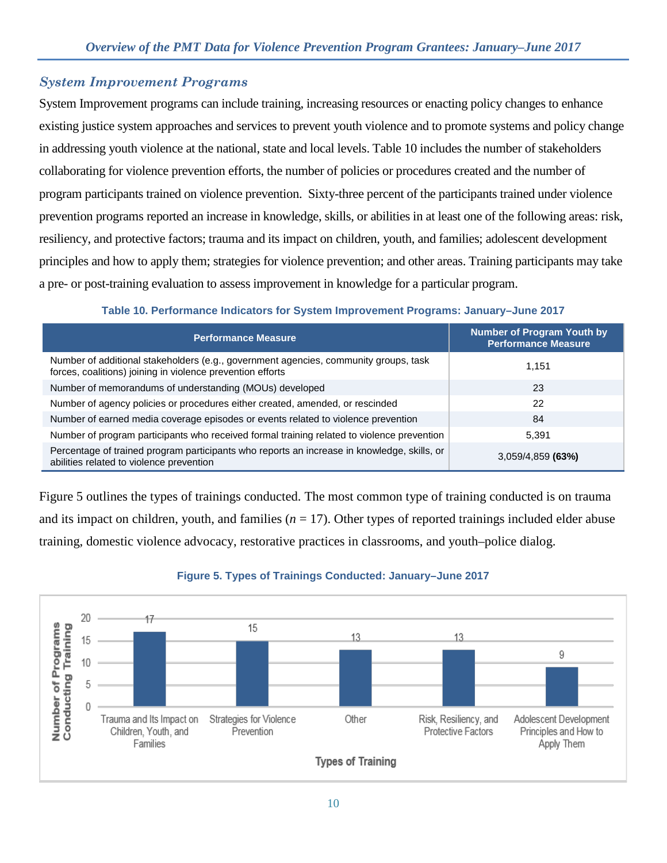## *System Improvement Programs*

System Improvement programs can include training, increasing resources or enacting policy changes to enhance existing justice system approaches and services to prevent youth violence and to promote systems and policy change in addressing youth violence at the national, state and local levels. Table 10 includes the number of stakeholders collaborating for violence prevention efforts, the number of policies or procedures created and the number of program participants trained on violence prevention. Sixty-three percent of the participants trained under violence prevention programs reported an increase in knowledge, skills, or abilities in at least one of the following areas: risk, resiliency, and protective factors; trauma and its impact on children, youth, and families; adolescent development principles and how to apply them; strategies for violence prevention; and other areas. Training participants may take a pre- or post-training evaluation to assess improvement in knowledge for a particular program.

### **Table 10. Performance Indicators for System Improvement Programs: January–June 2017**

| <b>Performance Measure</b>                                                                                                                         | <b>Number of Program Youth by</b><br><b>Performance Measure</b> |
|----------------------------------------------------------------------------------------------------------------------------------------------------|-----------------------------------------------------------------|
| Number of additional stakeholders (e.g., government agencies, community groups, task<br>forces, coalitions) joining in violence prevention efforts | 1,151                                                           |
| Number of memorandums of understanding (MOUs) developed                                                                                            | 23                                                              |
| Number of agency policies or procedures either created, amended, or rescinded                                                                      | 22                                                              |
| Number of earned media coverage episodes or events related to violence prevention                                                                  | 84                                                              |
| Number of program participants who received formal training related to violence prevention                                                         | 5,391                                                           |
| Percentage of trained program participants who reports an increase in knowledge, skills, or<br>abilities related to violence prevention            | $3,059/4,859$ (63%)                                             |

Figure 5 outlines the types of trainings conducted. The most common type of training conducted is on trauma and its impact on children, youth, and families  $(n = 17)$ . Other types of reported trainings included elder abuse training, domestic violence advocacy, restorative practices in classrooms, and youth–police dialog.



### **Figure 5. Types of Trainings Conducted: January–June 2017**